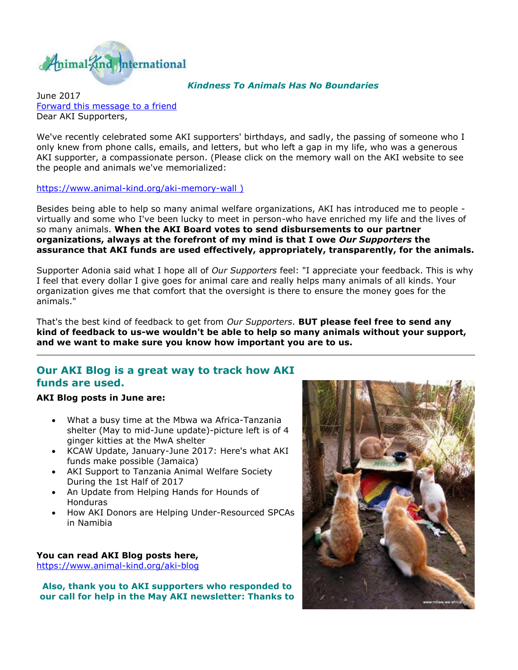

#### *Kindness To Animals Has No Boundaries*

June 2017 [Forward this message to a friend](http://oi.vresp.com/f2af/v4/send_to_friend.html?ch=7795d8407c&lid=284351439&ldh=f33df9aebc) Dear AKI Supporters,

We've recently celebrated some AKI supporters' birthdays, and sadly, the passing of someone who I only knew from phone calls, emails, and letters, but who left a gap in my life, who was a generous AKI supporter, a compassionate person. (Please click on the memory wall on the AKI website to see the people and animals we've memorialized:

[https://www.animal-kind.org/aki-memory-wall \)](http://cts.vresp.com/c/?AnimalKindInternatio/7795d8407c/f33df9aebc/f7af9bb04b)

Besides being able to help so many animal welfare organizations, AKI has introduced me to people virtually and some who I've been lucky to meet in person-who have enriched my life and the lives of so many animals. **When the AKI Board votes to send disbursements to our partner organizations, always at the forefront of my mind is that I owe** *Our Supporters* **the assurance that AKI funds are used effectively, appropriately, transparently, for the animals.** 

Supporter Adonia said what I hope all of *Our Supporters* feel: "I appreciate your feedback. This is why I feel that every dollar I give goes for animal care and really helps many animals of all kinds. Your organization gives me that comfort that the oversight is there to ensure the money goes for the animals."

That's the best kind of feedback to get from *Our Supporters*. **BUT please feel free to send any kind of feedback to us-we wouldn't be able to help so many animals without your support, and we want to make sure you know how important you are to us.** 

## **Our AKI Blog is a great way to track how AKI funds are used.**

#### **AKI Blog posts in June are:**

- What a busy time at the Mbwa wa Africa-Tanzania shelter (May to mid-June update)-picture left is of 4 ginger kitties at the MwA shelter
- KCAW Update, January-June 2017: Here's what AKI funds make possible (Jamaica)
- AKI Support to Tanzania Animal Welfare Society During the 1st Half of 2017
- An Update from Helping Hands for Hounds of Honduras
- How AKI Donors are Helping Under-Resourced SPCAs in Namibia

#### **You can read AKI Blog posts here,**

[https://www.animal-kind.org/aki-blog](http://cts.vresp.com/c/?AnimalKindInternatio/7795d8407c/f33df9aebc/14b064d267)

**Also, thank you to AKI supporters who responded to our call for help in the May AKI newsletter: Thanks to** 

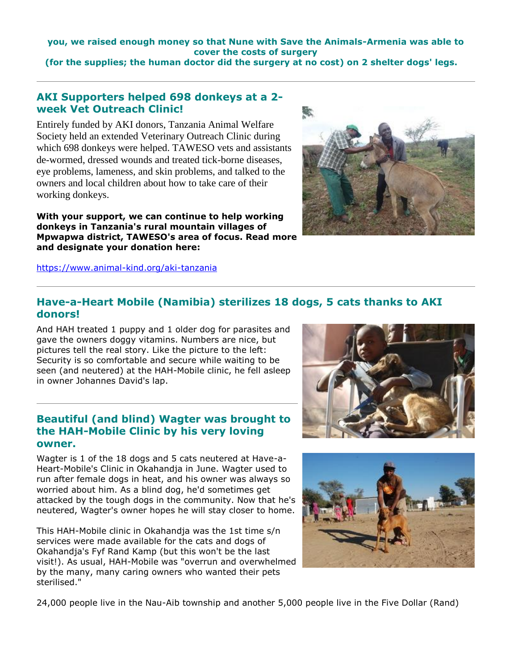**you, we raised enough money so that Nune with Save the Animals-Armenia was able to cover the costs of surgery** 

**(for the supplies; the human doctor did the surgery at no cost) on 2 shelter dogs' legs.**

# **AKI Supporters helped 698 donkeys at a 2 week Vet Outreach Clinic!**

Entirely funded by AKI donors, Tanzania Animal Welfare Society held an extended Veterinary Outreach Clinic during which 698 donkeys were helped. TAWESO vets and assistants de-wormed, dressed wounds and treated tick-borne diseases, eye problems, lameness, and skin problems, and talked to the owners and local children about how to take care of their working donkeys.

**With your support, we can continue to help working donkeys in Tanzania's rural mountain villages of Mpwapwa district, TAWESO's area of focus. Read more and designate your donation here:** 

[https://www.animal-kind.org/aki-tanzania](http://cts.vresp.com/c/?AnimalKindInternatio/7795d8407c/f33df9aebc/449b23e8f2)



#### **Have-a-Heart Mobile (Namibia) sterilizes 18 dogs, 5 cats thanks to AKI donors!**

And HAH treated 1 puppy and 1 older dog for parasites and gave the owners doggy vitamins. Numbers are nice, but pictures tell the real story. Like the picture to the left: Security is so comfortable and secure while waiting to be seen (and neutered) at the HAH-Mobile clinic, he fell asleep in owner Johannes David's lap.

## **Beautiful (and blind) Wagter was brought to the HAH-Mobile Clinic by his very loving owner.**

Wagter is 1 of the 18 dogs and 5 cats neutered at Have-a-Heart-Mobile's Clinic in Okahandja in June. Wagter used to run after female dogs in heat, and his owner was always so worried about him. As a blind dog, he'd sometimes get attacked by the tough dogs in the community. Now that he's neutered, Wagter's owner hopes he will stay closer to home.

This HAH-Mobile clinic in Okahandja was the 1st time s/n services were made available for the cats and dogs of Okahandja's Fyf Rand Kamp (but this won't be the last visit!). As usual, HAH-Mobile was "overrun and overwhelmed by the many, many caring owners who wanted their pets sterilised."





24,000 people live in the Nau-Aib township and another 5,000 people live in the Five Dollar (Rand)